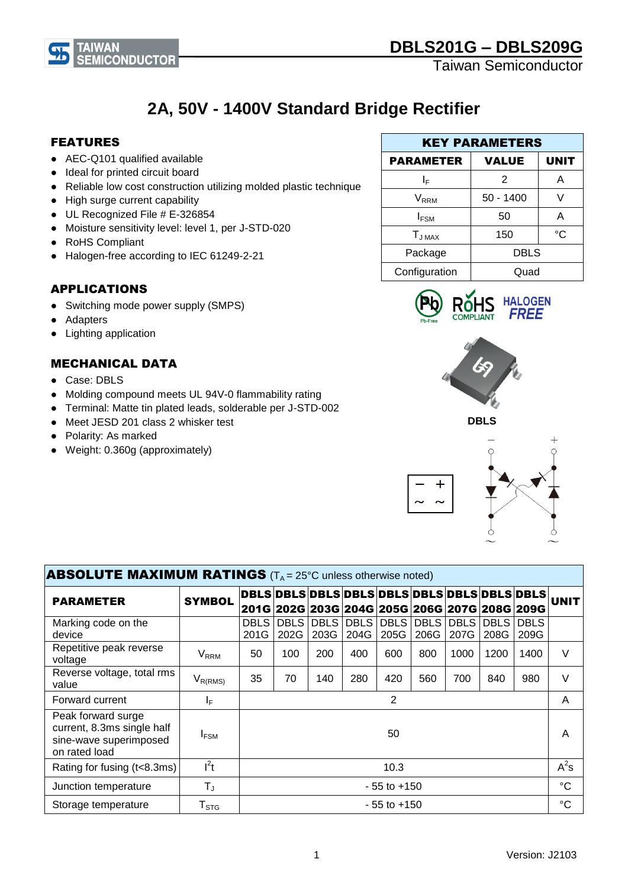## **2A, 50V - 1400V Standard Bridge Rectifier**

#### FEATURES

- AEC-Q101 qualified available
- Ideal for printed circuit board
- Reliable low cost construction utilizing molded plastic technique
- High surge current capability
- UL Recognized File # E-326854
- Moisture sensitivity level: level 1, per J-STD-020
- RoHS Compliant
- Halogen-free according to IEC 61249-2-21

#### APPLICATIONS

- Switching mode power supply (SMPS)
- Adapters
- Lighting application

#### MECHANICAL DATA

- Case: DBLS
- Molding compound meets UL 94V-0 flammability rating
- Terminal: Matte tin plated leads, solderable per J-STD-002
- Meet JESD 201 class 2 whisker test
- Polarity: As marked
- Weight: 0.360g (approximately)

| <b>KEY PARAMETERS</b>   |              |             |  |  |
|-------------------------|--------------|-------------|--|--|
| <b>PARAMETER</b>        | <b>VALUE</b> | <b>UNIT</b> |  |  |
| ΙF                      | 2            |             |  |  |
| <b>V</b> <sub>RRM</sub> | $50 - 1400$  |             |  |  |
| $I_{FSM}$               | 50           | Α           |  |  |
| $T_{JMAX}$              | 150          | °C          |  |  |
| Package                 | DBLS         |             |  |  |
| Configuration           | Quad         |             |  |  |







| <b>ABSOLUTE MAXIMUM RATINGS</b> ( $T_A = 25^\circ$ C unless otherwise noted)                |                        |                     |      |                   |                 |                                              |      |                   |                     |                     |             |
|---------------------------------------------------------------------------------------------|------------------------|---------------------|------|-------------------|-----------------|----------------------------------------------|------|-------------------|---------------------|---------------------|-------------|
| <b>PARAMETER</b>                                                                            | <b>SYMBOL</b>          |                     |      |                   |                 |                                              |      |                   |                     |                     | <b>UNIT</b> |
|                                                                                             |                        |                     |      |                   |                 | 201G 202G 203G 204G 205G 206G 207G 208G 209G |      |                   |                     |                     |             |
| Marking code on the<br>device                                                               |                        | <b>DBLS</b><br>201G | 202G | DBLS DBLS<br>203G |                 | DBLS   DBLS  <br>204G 205G                   | 206G | DBLS DBLS<br>207G | <b>DBLS</b><br>208G | <b>DBLS</b><br>209G |             |
| Repetitive peak reverse<br>voltage                                                          | <b>V<sub>RRM</sub></b> | 50                  | 100  | 200               | 400             | 600                                          | 800  | 1000              | 1200                | 1400                | V           |
| Reverse voltage, total rms<br>value                                                         | $V_{R(RMS)}$           | 35                  | 70   | 140               | 280             | 420                                          | 560  | 700               | 840                 | 980                 | $\vee$      |
| Forward current                                                                             | ΙF                     | $\overline{2}$      |      |                   |                 |                                              | A    |                   |                     |                     |             |
| Peak forward surge<br>current, 8.3ms single half<br>sine-wave superimposed<br>on rated load | $I_{FSM}$              | 50                  |      |                   |                 | A                                            |      |                   |                     |                     |             |
| Rating for fusing (t<8.3ms)                                                                 | $I^2t$                 | 10.3                |      |                   | $A^2s$          |                                              |      |                   |                     |                     |             |
| Junction temperature                                                                        | $T_{\text{J}}$         | $-55$ to $+150$     |      |                   | $\rm ^{\circ}C$ |                                              |      |                   |                     |                     |             |
| Storage temperature                                                                         | ${\sf T}_{\text{STG}}$ | - 55 to +150        |      |                   | $^{\circ}C$     |                                              |      |                   |                     |                     |             |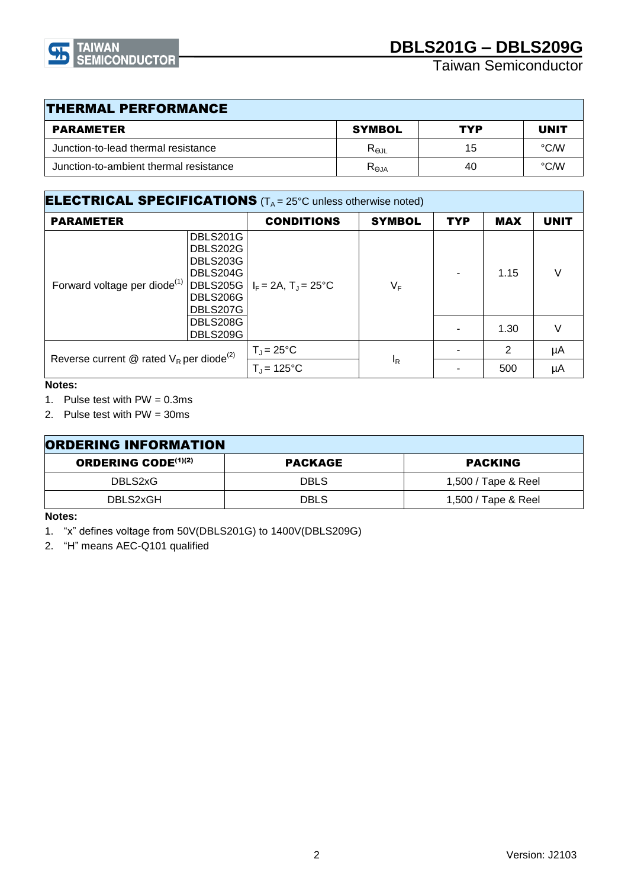

| <b>THERMAL PERFORMANCE</b>             |                                  |     |             |  |  |
|----------------------------------------|----------------------------------|-----|-------------|--|--|
| <b>PARAMETER</b>                       | <b>SYMBOL</b>                    | TYP | <b>UNIT</b> |  |  |
| Junction-to-lead thermal resistance    | $\mathsf{R}_{\Theta\mathsf{JL}}$ | 15  | °C/W        |  |  |
| Junction-to-ambient thermal resistance | $R_{\Theta$ JA                   | 40  | °C/W        |  |  |

| <b>PARAMETER</b>                                       |                                                                                                | <b>CONDITIONS</b>                | <b>SYMBOL</b> | <b>TYP</b> | <b>MAX</b> | <b>UNIT</b> |
|--------------------------------------------------------|------------------------------------------------------------------------------------------------|----------------------------------|---------------|------------|------------|-------------|
| Forward voltage per diode <sup>(1)</sup>               | <b>DBLS201G</b><br>DBLS202G<br>DBLS203G<br>DBLS204G<br><b>DBLS205G</b><br>DBLS206G<br>DBLS207G | $I_F = 2A$ , $T_J = 25^{\circ}C$ | $V_F$         |            | 1.15       |             |
|                                                        | DBLS208G<br>DBLS209G                                                                           |                                  |               |            | 1.30       |             |
| Reverse current @ rated $V_R$ per diode <sup>(2)</sup> |                                                                                                | $T_{\rm J}$ = 25°C               |               |            | 2          | μA          |
|                                                        |                                                                                                | $T_{\rm J}$ = 125°C              | <sub>IR</sub> |            | 500        | μA          |

#### **Notes:**

- 1. Pulse test with  $PW = 0.3$ ms
- 2. Pulse test with PW = 30ms

| <b>ORDERING INFORMATION</b> |             |                     |  |  |
|-----------------------------|-------------|---------------------|--|--|
| <b>ORDERING CODE</b> (1)(2) | PACKAGE     | <b>PACKING</b>      |  |  |
| DBLS2xG                     | <b>DBLS</b> | 1,500 / Tape & Reel |  |  |
| DBLS2xGH                    | DBLS        | 1,500 / Tape & Reel |  |  |

**Notes:**

- 1. "x" defines voltage from 50V(DBLS201G) to 1400V(DBLS209G)
- 2. "H" means AEC-Q101 qualified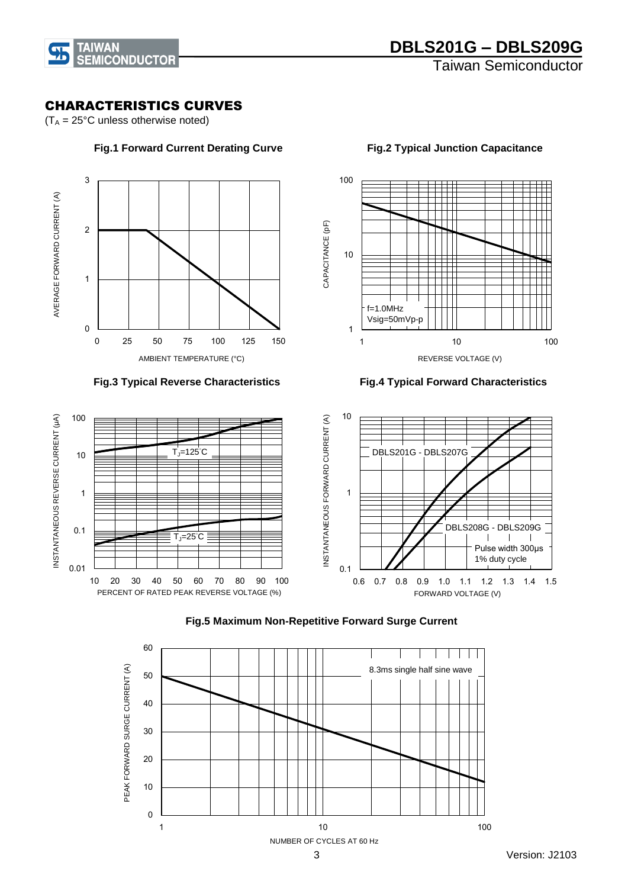

#### CHARACTERISTICS CURVES

 $(T_A = 25^{\circ}C$  unless otherwise noted)



#### **Fig.3 Typical Reverse Characteristics Fig.4 Typical Forward Characteristics**



### 60  $\overline{\phantom{a}}$ PEAK FORWARD SURGE CURRENT (A) 8.3ms single half sine wave PEAK FORWARD SURGE CURRENT (A)50 40 30 20 10 0 1 1 1  $10$  100  $100$ NUMBER OF CYCLES AT 60 Hz

 **Fig.5 Maximum Non-Repetitive Forward Surge Current**

#### **Fig.1 Forward Current Derating Curve Fig.2 Typical Junction Capacitance**

100

CAPACITANCE (pF) CAPACITANCE (pF) 10  $f=1.0$ MHz Vsig=50mVp-p 1 1 10 100 AMBIENT TEMPERATURE (°C)  $\qquad \qquad$ REVERSE VOLTAGE (V)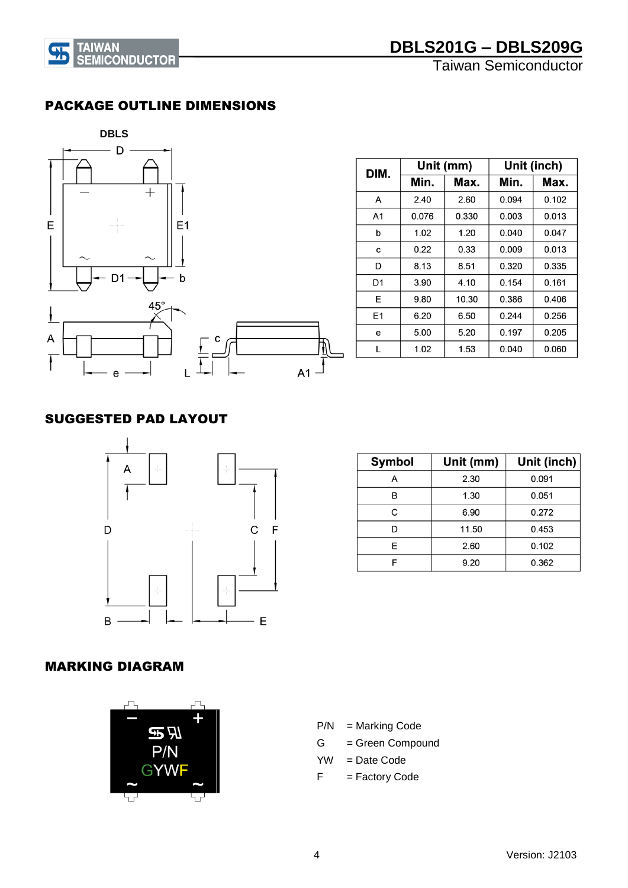

#### PACKAGE OUTLINE DIMENSIONS



| DIM. |       | Unit (mm) | Unit (inch) |       |  |
|------|-------|-----------|-------------|-------|--|
|      | Min.  | Max.      | Min.        | Max.  |  |
| А    | 2.40  | 2.60      | 0.094       | 0.102 |  |
| A1   | 0.076 | 0.330     | 0.003       | 0.013 |  |
| b    | 1.02  | 1.20      | 0.040       | 0.047 |  |
| C    | 0.22  | 0.33      | 0.009       | 0.013 |  |
| D    | 8.13  | 8.51      | 0.320       | 0.335 |  |
| D1   | 3.90  | 4.10      | 0.154       | 0.161 |  |
| E    | 9.80  | 10.30     | 0.386       | 0.406 |  |
| E1   | 6.20  | 6.50      | 0.244       | 0.256 |  |
| е    | 5.00  | 5.20      | 0.197       | 0.205 |  |
| L    | 1.02  | 1.53      | 0.040       | 0.060 |  |

#### SUGGESTED PAD LAYOUT



| <b>Symbol</b> | Unit (mm) | Unit (inch) |
|---------------|-----------|-------------|
| А             | 2.30      | 0.091       |
| в             | 1.30      | 0.051       |
| С             | 6.90      | 0.272       |
| D             | 11.50     | 0.453       |
| E             | 2.60      | 0.102       |
|               | 9.20      | 0.362       |

## MARKING DIAGRAM



- P/N = Marking Code
- G = Green Compound
- YW = Date Code
- F = Factory Code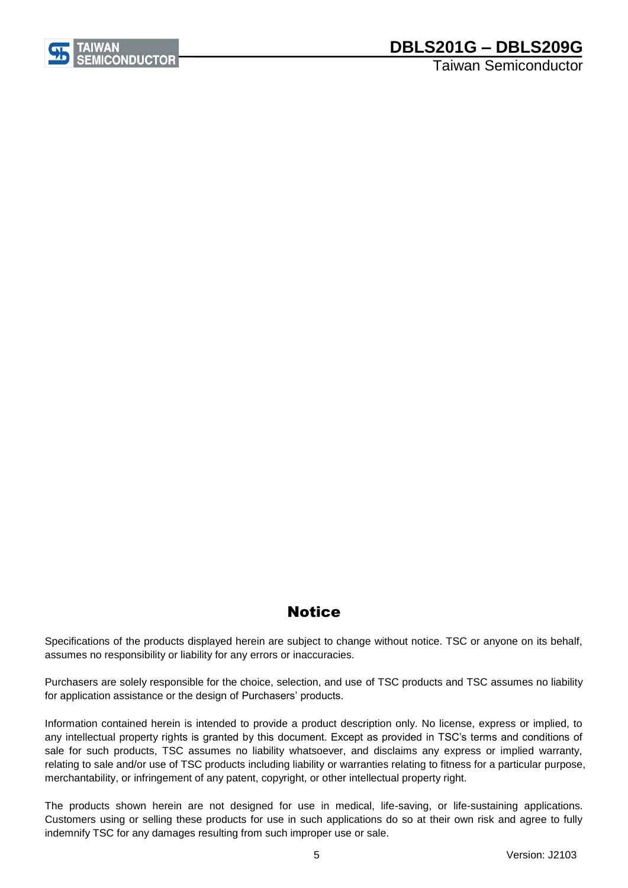

## **Notice**

Specifications of the products displayed herein are subject to change without notice. TSC or anyone on its behalf, assumes no responsibility or liability for any errors or inaccuracies.

Purchasers are solely responsible for the choice, selection, and use of TSC products and TSC assumes no liability for application assistance or the design of Purchasers' products.

Information contained herein is intended to provide a product description only. No license, express or implied, to any intellectual property rights is granted by this document. Except as provided in TSC's terms and conditions of sale for such products, TSC assumes no liability whatsoever, and disclaims any express or implied warranty, relating to sale and/or use of TSC products including liability or warranties relating to fitness for a particular purpose, merchantability, or infringement of any patent, copyright, or other intellectual property right.

The products shown herein are not designed for use in medical, life-saving, or life-sustaining applications. Customers using or selling these products for use in such applications do so at their own risk and agree to fully indemnify TSC for any damages resulting from such improper use or sale.